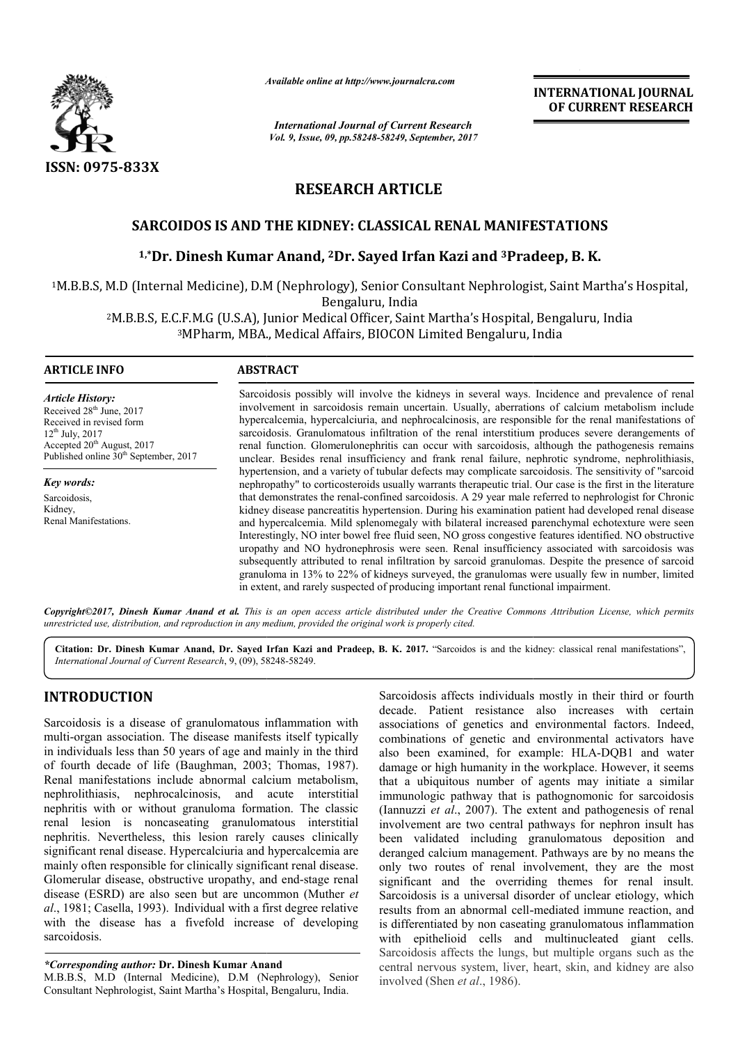

*Available online at http://www.journal http://www.journalcra.com*

*International Journal of Current Research Vol. 9, Issue, 09, pp.58248-58249, September, 2017* **INTERNATIONAL JOURNAL OF CURRENT RESEARCH** 

# **RESEARCH ARTICLE**

## **SARCOIDOS IS AND THE KIDNEY: CLASSICAL RENAL MANIFESTATIONS**

# 'ARCOIDOS IS AND THE KIDNEY: CLASSICAL RENAL MANIFESTATIONS<br><sup>1,</sup>\*Dr. Dinesh Kumar Anand, <sup>2</sup>Dr. Sayed Irfan Kazi and <sup>3</sup>Pradeep, B. K.

<sup>1</sup>M.B.B.S, M.D (Internal Medicine), D.M (Nephrology), Senior Consultant Nephrologist, Saint Martha's Hospital,<br>Bengaluru, India

<sup>2</sup>M.B.B.S, E.C.F.M.G (U.S.A), Junior Medical Officer, Saint Martha's Hospital, Bengaluru, India<sup>3</sup>MPharm, MBA., Medical Affairs, BIOCON Limited Bengaluru, India <sup>3</sup>MPharm, MBA., Medical Affairs, BIOCON Limited Bengaluru, India

### **ARTICLE INFO ABSTRACT**

*Article History:* Received 28<sup>th</sup> June, 2017 Received in revised form  $12^{th}$  July,  $2017$ Accepted 20<sup>th</sup> August, 2017 Published online  $30<sup>th</sup>$  September, 2017

*Key words:* Sarcoidosis, Kidney, Renal Manifestations. Sarcoidosis possibly will involve the kidneys in several ways. Incidence and prevalence of renal involvement in sarcoidosis remain uncertain. Usually, aberrations of calcium metabolism include hypercalcemia, hypercalciuria, and nephrocalcinosis, are responsible for the renal manifestations of sarcoidosis. Granulomatous infiltration of the renal interstitium produces severe derangements of renal function. Glomerulonephritis can occur with sarcoidosis, although the pathogenesis remains unclear. Besides renal insufficiency and frank renal failure, nephrotic syndrome, nephrolithiasis, hypertension, and a variety of tubular defects may complicate sarcoidosis. The sensitivity of "sarcoid nephropathy" to corticosteroids usually warrants therapeutic trial. that demonstrates the renal-confined sarcoidosis. A 29 year male referred to nephrologist for Chronic that demonstrates the renal-confined sarcoidosis. A 29 year male referred to nephrologist for Chronic kidney disease pancreatitis hypertension. During his examination patient had developed renal disease and hypercalcemia. Mild splenomegaly with bilateral increased parenchymal echotexture were seen Interestingly, NO inter bowel free fluid seen, NO gross congestive features identified. NO obstructive uropathy and NO hydronephrosis were seen. Renal insufficiency associated with sarcoidosis was subsequently attributed to renal infiltration by sarcoid granulomas. Despite the presence of sarcoid granuloma in 13% to 22% of kidneys surveyed, the granulomas were usually few in number, limited in extent, and rarely suspected of producing important renal functional impairment. possibly will involve the kidneys in several ways. Incidence and prevalence of renal<br>in sarcoidosis remain uncertain. Usually, aberrations of calcium metabolism include<br>ia, hypercalciuria, and nephrocalcinosis, are respons ciency and frank renal failure, nephrotic syndrome, nephrolithiasis, tubular defects may complicate sarcoidosis. The sensitivity of "sarcoids usually warrants therapeutic trial. Our case is the first in the literature emia. Mild splenomegaly with bilateral increased parenchymal echotexture were seen<br>NO inter bowel free fluid seen, NO gross congestive features identified. NO obstructive<br>NO hydronephrosis were seen. Renal insufficiency as

Copyright©2017, Dinesh Kumar Anand et al. This is an open access article distributed under the Creative Commons Attribution License, which permits *unrestricted use, distribution, and reproduction in any medium, provided the original work is properly cited.*

Citation: Dr. Dinesh Kumar Anand, Dr. Sayed Irfan Kazi and Pradeep, B. K. 2017. "Sarcoidos is and the kidney: classical renal manifestations", *International Journal of Current Research*, 9, (09), 58 58248-58249.

## **INTRODUCTION**

Sarcoidosis is a disease of granulomatous inflammation with multi-organ association. The disease manifests itself typically in individuals less than 50 years of age and mainly in the third multi-organ association. The disease manifests itself typically<br>in individuals less than 50 years of age and mainly in the third<br>of fourth decade of life (Baughman, 2003; Thomas, 1987). Renal manifestations include abnormal calcium meta metabolism, nephrolithiasis, nephrocalcinosis, and acute interstitial nephritis with or without granuloma formation. The classic renal lesion is noncaseating granulomatous interstitial nephritis. Nevertheless, this lesion rarely causes clinically significant renal disease. Hypercalciuria and hypercalcemia are mainly often responsible for clinically significant renal disease. Glomerular disease, obstructive uropathy, and end-stage renal disease (ESRD) are also seen but are uncommon (Muther *et al*., 1981; Casella, 1993). Individual with a first degree relative with the disease has a fivefold increase of developing sarcoidosis. enal disease. Hypercalciuria and hypercalcemia are<br>n responsible for clinically significant renal disease.<br>disease, obstructive uropathy, and end-stage renal

*\*Corresponding author:* **Dr. Dinesh Kumar Anand**

M.B.B.S, M.D (Internal Medicine), D.M (Nephrology), Senior Consultant Nephrologist, Saint Martha's Hospital, Bengaluru, India.

Sarcoidosis affects individuals mostly in their third or fourth decade. Patient resistance also increases with certain associations of genetics and environmental factors. Indeed, Sarcoidosis affects individuals mostly in their third or fourth decade. Patient resistance also increases with certain associations of genetics and environmental factors. Indeed, combinations of genetic and environmental a also been examined, for example: HLA-DQB1 and water damage or high humanity in the workplace. However, it seems that a ubiquitous number of agents may initiate a similar immunologic pathway that is pathognomonic for sarcoidosis (Iannuzzi *et al*., 2007). The extent and pathogenesis of renal involvement are two central pathways for nephron insult has been validated including granulomatous deposition and deranged calcium management. Pathways are by no means the only two routes of renal involvement, they are the most significant and the overriding themes for renal insult. Sarcoidosis is a universal disorder of unclear etiology, which Sarcoidosis is a universal disorder of unclear etiology, which results from an abnormal cell-mediated immune reaction, and is differentiated by non caseating granulomatous inflammation with epithelioid cells and multinucleated giant cells. Sarcoidosis affects the lungs, but multiple organs such as the central nervous system, liver, heart, skin, and kidney are also involved (Shen *et al*., 1986). damage or high humanity in the workplace. However, it seems<br>that a ubiquitous number of agents may initiate a similar<br>immunologic pathway that is pathognomonic for sarcoidosis<br>(Iannuzzi *et al.*, 2007). The extent and pat **INTERNATIONAL JOURNAL OF CURRENT RESEARCH**<br> **OF CURRENT RESEARCH**<br> **OF CURRENT RESEARCH**<br> **OF CURRENT RESEARCH**<br> **CONDIGITMATIONS**<br> **CONDIGITMATIONS**<br> **CONDIGITMATIONS**<br> **CONDIGITMATIONS**<br> **CONDIGITMATIONS**<br> **CONDIGITMATI**